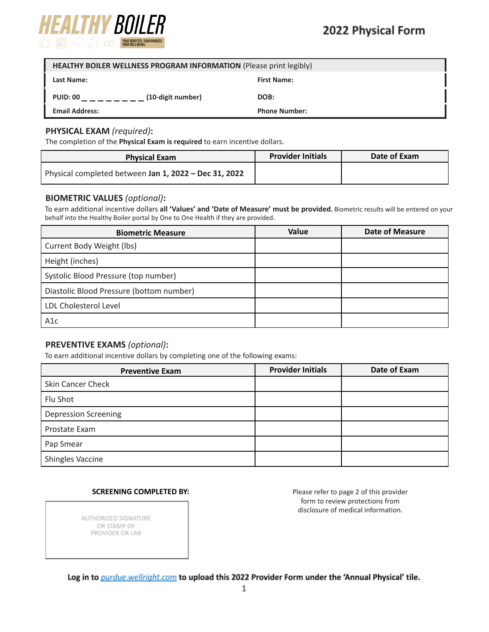

| HEALTHY BOILER WELLNESS PROGRAM INFORMATION (Please print legibly) |                      |  |  |
|--------------------------------------------------------------------|----------------------|--|--|
| <b>Last Name:</b>                                                  | <b>First Name:</b>   |  |  |
| (10-digit number)<br><b>PUID: 00</b>                               | DOB:                 |  |  |
| <b>Email Address:</b>                                              | <b>Phone Number:</b> |  |  |

### **PHYSICAL EXAM** *(required)***:**

The completion of the **Physical Exam is required** to earn incentive dollars.

| <b>Physical Exam</b>                                  | <b>Provider Initials</b> | Date of Exam |
|-------------------------------------------------------|--------------------------|--------------|
| Physical completed between Jan 1, 2022 - Dec 31, 2022 |                          |              |

#### **BIOMETRIC VALUES** *(optional)***:**

To earn additional incentive dollars **all 'Values' and 'Date of Measure' must be provided.** Biometric results will be entered on your behalf into the Healthy Boiler portal by One to One Health if they are provided.

| <b>Biometric Measure</b>                 | Value | <b>Date of Measure</b> |
|------------------------------------------|-------|------------------------|
| Current Body Weight (lbs)                |       |                        |
| Height (inches)                          |       |                        |
| Systolic Blood Pressure (top number)     |       |                        |
| Diastolic Blood Pressure (bottom number) |       |                        |
| LDL Cholesterol Level                    |       |                        |
| A <sub>1</sub> c                         |       |                        |

### **PREVENTIVE EXAMS** *(optional)***:**

To earn additional incentive dollars by completing one of the following exams:

| <b>Preventive Exam</b>      | <b>Provider Initials</b> | Date of Exam |
|-----------------------------|--------------------------|--------------|
| Skin Cancer Check           |                          |              |
| Flu Shot                    |                          |              |
| <b>Depression Screening</b> |                          |              |
| Prostate Exam               |                          |              |
| Pap Smear                   |                          |              |
| Shingles Vaccine            |                          |              |

### **SCREENING COMPLETED BY:** Please refer to page 2 of this provider

form to review protections from disclosure of medical information.

AUTHORIZED SIGNATURE OR STAMP OF PROVIDER OR LAB

Log in to purdue.wellright.com to upload this 2022 Provider Form under the 'Annual Physical' tile.